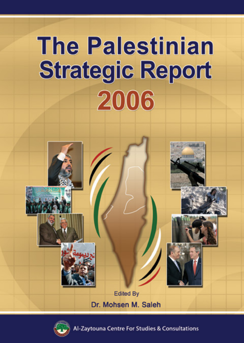# **The Palestinian Strategic Report** 2006





Zaytouna Centre For Studies & Consultations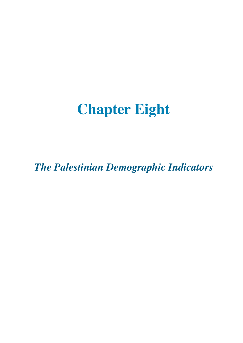## **Chapter Eight**

*The Palestinian Demographic Indicators*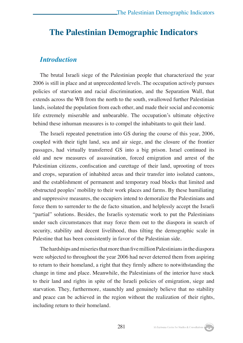#### **The Palestinian Demographic Indicators**

#### *Introduction*

The brutal Israeli siege of the Palestinian people that characterized the year 2006 is still in place and at unprecedented levels. The occupation actively pursues policies of starvation and racial discrimination, and the Separation Wall, that extends across the WB from the north to the south, swallowed further Palestinian lands, isolated the population from each other, and made their social and economic life extremely miserable and unbearable. The occupation's ultimate objective behind these inhuman measures is to compel the inhabitants to quit their land.

The Israeli repeated penetration into GS during the course of this year, 2006, coupled with their tight land, sea and air siege, and the closure of the frontier passages, had virtually transferred GS into a big prison. Israel continued its old and new measures of assassination, forced emigration and arrest of the Palestinian citizens, confiscation and curettage of their land, uprooting of trees and crops, separation of inhabited areas and their transfer into isolated cantons, and the establishment of permanent and temporary road blocks that limited and obstructed peoples' mobility to their work places and farms. By these humiliating and suppressive measures, the occupiers intend to demoralize the Palestinians and force them to surrender to the de facto situation, and helplessly accept the Israeli "partial" solutions. Besides, the Israelis systematic work to put the Palestinians under such circumstances that may force them out to the diaspora in search of security, stability and decent livelihood, thus tilting the demographic scale in Palestine that has been consistently in favor of the Palestinian side.

The hardships and miseries that more than five million Palestinians in the diaspora were subjected to throughout the year 2006 had never deterred them from aspiring to return to their homeland, a right that they firmly adhere to notwithstanding the change in time and place. Meanwhile, the Palestinians of the interior have stuck to their land and rights in spite of the Israeli policies of emigration, siege and starvation. They, furthermore, staunchly and genuinely believe that no stability and peace can be achieved in the region without the realization of their rights, including return to their homeland.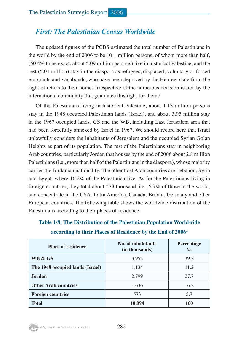#### *First: The Palestinian Census Worldwide*

The updated figures of the PCBS estimated the total number of Palestinians in the world by the end of 2006 to be 10.1 million persons, of whom more than half, (50.4% to be exact, about 5.09 million persons) live in historical Palestine, and the rest (5.01 million) stay in the diaspora as refugees, displaced, voluntary or forced emigrants and vagabonds, who have been deprived by the Hebrew state from the right of return to their homes irrespective of the numerous decision issued by the international community that guarantee this right for them.<sup>1</sup>

Of the Palestinians living in historical Palestine, about 1.13 million persons stay in the 1948 occupied Palestinian lands (Israel), and about 3.95 million stay in the 1967 occupied lands, GS and the WB, including East Jerusalem area that had been forcefully annexed by Israel in 1967. We should record here that Israel unlawfully considers the inhabitants of Jerusalem and the occupied Syrian Golan Heights as part of its population. The rest of the Palestinians stay in neighboring Arab countries, particularly Jordan that houses by the end of 2006 about 2.8 million Palestinians (i.e., more than half of the Palestinians in the diaspora), whose majority carries the Jordanian nationality. The other host Arab countries are Lebanon, Syria and Egypt, where 16.2% of the Palestinian live. As for the Palestinians living in foreign countries, they total about 573 thousand, i.e., 5.7% of those in the world, and concentrate in the USA, Latin America, Canada, Britain, Germany and other European countries. The following table shows the worldwide distribution of the Palestinians according to their places of residence.

| <b>Place of residence</b>        | No. of inhabitants<br>(in thousands) | Percentage<br>$\%$ |  |
|----------------------------------|--------------------------------------|--------------------|--|
| WB & GS                          | 3,952                                | 39.2               |  |
| The 1948 occupied lands (Israel) | 1,134                                | 11.2               |  |
| <b>Jordan</b>                    | 2.799                                | 27.7               |  |
| <b>Other Arab countries</b>      | 1,636                                | 16.2               |  |
| <b>Foreign countries</b>         | 573                                  | 5.7                |  |
| <b>Total</b>                     | 10,094                               | 100                |  |

**Table 1/8: The Distribution of the Palestinian Population Worldwide according to their Places of Residence by the End of 20062**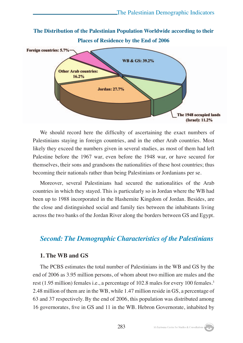

We should record here the difficulty of ascertaining the exact numbers of Palestinians staying in foreign countries, and in the other Arab countries. Most likely they exceed the numbers given in several studies, as most of them had left Palestine before the 1967 war, even before the 1948 war, or have secured for themselves, their sons and grandsons the nationalities of these host countries; thus becoming their nationals rather than being Palestinians or Jordanians per se.

Moreover, several Palestinians had secured the nationalities of the Arab countries in which they stayed. This is particularly so in Jordan where the WB had been up to 1988 incorporated in the Hashemite Kingdom of Jordan. Besides, are the close and distinguished social and family ties between the inhabitants living across the two banks of the Jordan River along the borders between GS and Egypt.

#### *Second: The Demographic Characteristics of the Palestinians*

#### **1. The WB and GS**

The PCBS estimates the total number of Palestinians in the WB and GS by the end of 2006 as 3.95 million persons, of whom about two million are males and the rest (1.95 million) females i.e., a percentage of 102.8 males for every 100 females.<sup>3</sup> 2.48 million of them are in the WB, while 1.47 million reside in GS, a percentage of 63 and 37 respectively. By the end of 2006, this population was distributed among 16 governorates, five in GS and 11 in the WB. Hebron Governorate, inhabited by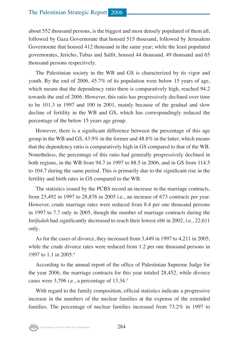about 552 thousand persons, is the biggest and most densely populated of them all, followed by Gaza Governorate that housed 515 thousand, followed by Jerusalem Governorate that housed 412 thousand in the same year; while the least populated governorates, Jericho, Tubas and Salfit, housed 44 thousand, 49 thousand and 65 thousand persons respectively.

The Palestinian society in the WB and GS is characterized by its vigor and youth. By the end of 2006, 45.7% of its population were below 15 years of age, which means that the dependency ratio there is comparatively high, reached 94.2 towards the end of 2006. However, this ratio has progressively declined over time to be 101.3 in 1997 and 100 in 2001, mainly because of the gradual and slow decline of fertility in the WB and GS, which has correspondingly reduced the percentage of the below 15 years age group.

However, there is a significant difference between the percentage of this age group in the WB and GS, 43.9% in the former and 48.8% in the latter, which means that the dependency ratio is comparatively high in GS compared to that of the WB. Nonetheless, the percentage of this ratio had generally progressively declined in both regions, in the WB from 94.7 in 1997 to 88.5 in 2006, and in GS from 114.5 to 104.7 during the same period. This is primarily due to the significant rise in the fertility and birth rates in GS compared to the WB.

The statistics issued by the PCBS record an increase in the marriage contracts, from 23,492 in 1997 to 28,876 in 2005 i.e., an increase of 673 contracts per year. However, crude marriage rates were reduced from 8.4 per one thousand persons in 1997 to 7.7 only in 2005, though the number of marriage contracts during the *Intifadah* had significantly decreased to reach their lowest ebb in 2002, i.e., 22,611 only.

As for the cases of divorce, they increased from 3,449 in 1997 to 4,211 in 2005, while the crude divorce rates were reduced from 1.2 per one thousand persons in 1997 to 1.1 in 2005.4

According to the annual report of the office of Palestinian Supreme Judge for the year 2006, the marriage contracts for this year totaled 28,452, while divorce cases were  $3,796$  i.e., a percentage of 13.34. $\degree$ 

With regard to the family composition, official statistics indicate a progressive increase in the numbers of the nuclear families at the expense of the extended families. The percentage of nuclear families increased from 73.2% in 1997 to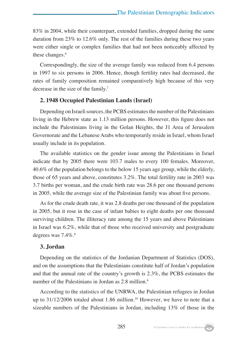83% in 2004, while their counterpart, extended families, dropped during the same duration from 23% to 12.6% only. The rest of the families during these two years were either single or complex families that had not been noticeably affected by these changes.<sup>6</sup>

Correspondingly, the size of the average family was reduced from 6.4 persons in 1997 to six persons in 2006. Hence, though fertility rates had decreased, the rates of family composition remained comparatively high because of this very decrease in the size of the family.<sup>7</sup>

#### **2. 1948 Occupied Palestinian Lands (Israel)**

Depending on Israeli sources, the PCBS estimates the number of the Palestinians living in the Hebrew state as 1.13 million persons. However, this figure does not include the Palestinians living in the Golan Heights, the J1 Area of Jerusalem Governorate and the Lebanese Arabs who temporarily reside in Israel, whom Israel usually include in its population.

The available statistics on the gender issue among the Palestinians in Israel indicate that by 2005 there were 103.7 males to every 100 females. Moreover, 40.6% of the population belongs to the below 15 years age group, while the elderly, those of 65 years and above, constitutes 3.2%. The total fertility rate in 2003 was 3.7 births per woman, and the crude birth rate was 28.6 per one thousand persons in 2005, while the average size of the Palestinian family was about five persons.

As for the crude death rate, it was 2.8 deaths per one thousand of the population in 2005, but it rose in the case of infant babies to eight deaths per one thousand surviving children. The illiteracy rate among the 15 years and above Palestinians in Israel was 6.2%, while that of those who received university and postgraduate degrees was  $7.4\%$ .<sup>8</sup>

#### **3. Jordan**

Depending on the statistics of the Jordanian Department of Statistics (DOS), and on the assumptions that the Palestinians constitute half of Jordan's population and that the annual rate of the country's growth is 2.3%, the PCBS estimates the number of the Palestinians in Jordan as 2.8 million.<sup>9</sup>

According to the statistics of the UNRWA, the Palestinian refugees in Jordan up to  $31/12/2006$  totaled about 1.86 million.<sup>10</sup> However, we have to note that a sizeable numbers of the Palestinians in Jordan, including 13% of those in the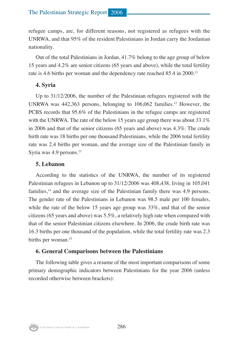refugee camps, are, for different reasons, not registered as refugees with the UNRWA, and that 95% of the resident Palestinians in Jordan carry the Jordanian nationality.

Out of the total Palestinians in Jordan, 41.7% belong to the age group of below 15 years and 4.2% are senior citizens (65 years and above), while the total fertility rate is 4.6 births per woman and the dependency rate reached 85.4 in 2000.<sup>11</sup>

#### **4. Syria**

Up to 31/12/2006, the number of the Palestinian refugees registered with the UNRWA was  $442,363$  persons, belonging to  $106,062$  families.<sup>12</sup> However, the PCBS records that 95.6% of the Palestinians in the refugee camps are registered with the UNRWA. The rate of the below 15 years age group there was about 33.1% in 2006 and that of the senior citizens (65 years and above) was 4.3%. The crude birth rate was 18 births per one thousand Palestinians, while the 2006 total fertility rate was 2.4 births per woman, and the average size of the Palestinian family in Syria was 4.9 persons.<sup>13</sup>

#### **5. Lebanon**

According to the statistics of the UNRWA, the number of its registered Palestinian refugees in Lebanon up to 31/12/2006 was 408,438, living in 105,041 families, $14$  and the average size of the Palestinian family there was 4.9 persons. The gender rate of the Palestinians in Lebanon was 98.5 male per 100 females, while the rate of the below 15 years age group was  $33\%$ , and that of the senior citizens (65 years and above) was 5.5%, a relatively high rate when compared with that of the senior Palestinian citizens elsewhere. In 2006, the crude birth rate was 16.3 births per one thousand of the population, while the total fertility rate was 2.3 births per woman.<sup>15</sup>

#### **6. General Comparisons between the Palestinians**

The following table gives a resume of the most important comparisons of some primary demographic indicators between Palestinians for the year 2006 (unless recorded otherwise between brackets):

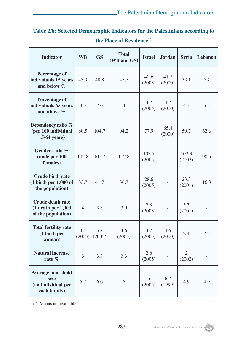#### **Table 2/8: Selected Demographic Indicators for the Palestinians according to the Place of Residence16**

| <b>Indicator</b>                                                                        | <b>WB</b>     | <b>GS</b>     | <b>Total</b><br><b>Israel</b><br>(WB and GS) |                 | <b>Jordan</b>  | <b>Syria</b>    | Lebanon |
|-----------------------------------------------------------------------------------------|---------------|---------------|----------------------------------------------|-----------------|----------------|-----------------|---------|
| <b>Percentage of</b><br>individuals 15 years<br>and below %                             | 43.9          | 48.8          | 45.7                                         | 40.6<br>(2005)  | 41.7<br>(2000) | 33.1            | 33      |
| <b>Percentage of</b><br>individuals 65 years<br>and above %                             | 3.3           | 2.6           | 3                                            | 3.2<br>(2005)   | 4.2<br>(2000)  | 4.3             | 5.5     |
| Dependency ratio %<br>(per 100 individual<br>15-64 years)                               | 88.5          | 104.7         | 94.2<br>77.9                                 |                 | 85.4<br>(2000) | 59.7            | 62.6    |
| Gender ratio %<br>(male per 100<br>females)                                             | 102.8         | 102.7         | 102.8                                        | 103.7<br>(2005) |                | 102.3<br>(2002) | 98.5    |
| <b>Crude birth rate</b><br>$(1 \text{ birth per } 1,000 \text{ of }$<br>the population) | 33.7          | 41.7          | 36.7                                         | 28.6<br>(2005)  |                | 23.3<br>(2001)  | 16.3    |
| <b>Crude death rate</b><br>$(1$ death per $1,000$<br>of the population)                 | 4             | 3.8           | 3.9                                          | 2.8<br>(2005)   |                | 3.3<br>(2001)   |         |
| <b>Total fertility rate</b><br>(1 birth per<br>woman)                                   | 4.1<br>(2003) | 5.8<br>(2003) | 4.6<br>(2003)                                | 3.7<br>(2003)   | 4.6<br>(2000)  | 2.4             | 2.3     |
| <b>Natural increase</b><br>rate $%$                                                     | 3             | 3.8           | 3.3                                          | 2.6<br>(2005)   |                | 2<br>(2002)     |         |
| <b>Average household</b><br>size<br>(an individual per<br>each family)                  | 5.7           | 6.6           | 6                                            | 5<br>(2005)     | 6.2<br>(1999)  | 4.9             | 4.9     |

(-): Means not available.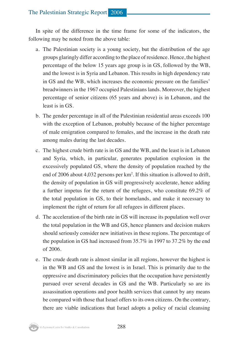#### The Palestinian Strategic Report 2006

In spite of the difference in the time frame for some of the indicators, the following may be noted from the above table:

- a. The Palestinian society is a young society, but the distribution of the age groups glaringly differ according to the place of residence. Hence, the highest percentage of the below 15 years age group is in GS, followed by the WB, and the lowest is in Syria and Lebanon. This results in high dependency rate in GS and the WB, which increases the economic pressure on the families' breadwinners in the 1967 occupied Palestinians lands. Moreover, the highest percentage of senior citizens (65 years and above) is in Lebanon, and the least is in GS.
- b. The gender percentage in all of the Palestinian residential areas exceeds 100 with the exception of Lebanon, probably because of the higher percentage of male emigration compared to females, and the increase in the death rate among males during the last decades.
- c. The highest crude birth rate is in GS and the WB, and the least is in Lebanon and Syria, which, in particular, generates population explosion in the excessively populated GS, where the density of population reached by the end of 2006 about 4,032 persons per  $km^2$ . If this situation is allowed to drift, the density of population in GS will progressively accelerate, hence adding a further impetus for the return of the refugees, who constitute 69.2% of the total population in GS, to their homelands, and make it necessary to implement the right of return for all refugees in different places.
- d. The acceleration of the birth rate in GS will increase its population well over the total population in the WB and GS, hence planners and decision makers should seriously consider new initiatives in these regions. The percentage of the population in GS had increased from 35.7% in 1997 to 37.2% by the end of 2006.
- e. The crude death rate is almost similar in all regions, however the highest is in the WB and GS and the lowest is in Israel. This is primarily due to the oppressive and discriminatory policies that the occupation have persistently pursued over several decades in GS and the WB. Particularly so are its assassination operations and poor health services that cannot by any means be compared with those that Israel offers to its own citizens. On the contrary, there are viable indications that Israel adopts a policy of racial cleansing

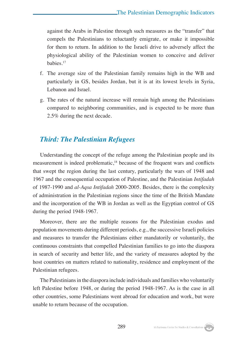against the Arabs in Palestine through such measures as the "transfer" that compels the Palestinians to reluctantly emigrate, or make it impossible for them to return. In addition to the Israeli drive to adversely affect the physiological ability of the Palestinian women to conceive and deliver babies.17

- f. The average size of the Palestinian family remains high in the WB and particularly in GS, besides Jordan, but it is at its lowest levels in Syria, Lebanon and Israel.
- g. The rates of the natural increase will remain high among the Palestinians compared to neighboring communities, and is expected to be more than 2.5% during the next decade.

#### *Third: The Palestinian Refugees*

Understanding the concept of the refuge among the Palestinian people and its measurement is indeed problematic,18 because of the frequent wars and conflicts that swept the region during the last century, particularly the wars of 1948 and 1967 and the consequential occupation of Palestine, and the Palestinian *Intifadah* of 1987-1990 and *al-Aqsa Intifadah* 2000-2005. Besides, there is the complexity of administration in the Palestinian regions since the time of the British Mandate and the incorporation of the WB in Jordan as well as the Egyptian control of GS during the period 1948-1967.

Moreover, there are the multiple reasons for the Palestinian exodus and population movements during different periods, e.g., the successive Israeli policies and measures to transfer the Palestinians either mandatorily or voluntarily, the continuous constraints that compelled Palestinian families to go into the diaspora in search of security and better life, and the variety of measures adopted by the host countries on matters related to nationality, residence and employment of the Palestinian refugees.

The Palestinians in the diaspora include individuals and families who voluntarily left Palestine before 1948, or during the period 1948-1967. As is the case in all other countries, some Palestinians went abroad for education and work, but were unable to return because of the occupation.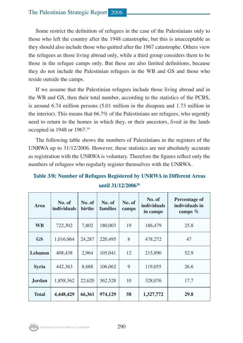#### The Palestinian Strategic Report 2006

Some restrict the definition of refugees in the case of the Palestinians only to those who left the country after the 1948 catastrophe, but this is unacceptable as they should also include those who quitted after the 1967 catastrophe. Others view the refugees as those living abroad only, while a third group considers them to be those in the refugee camps only. But these are also limited definitions, because they do not include the Palestinian refugees in the WB and GS and those who reside outside the camps.

If we assume that the Palestinian refugees include those living abroad and in the WB and GS, then their total number, according to the statistics of the PCBS, is around 6.74 million persons (5.01 million in the disapora and 1.73 million in the interior). This means that 66.7% of the Palestinians are refugees, who urgently need to return to the homes in which they, or their ancestors, lived in the lands occupied in 1948 or 1967.19

The following table shows the numbers of Palestinians in the registers of the UNRWA up to 31/12/2006. However, these statistics are not absolutely accurate as registration with the UNRWA is voluntary. Therefore the figures reflect only the numbers of refugees who regularly register themselves with the UNRWA.

| Area          | No. of<br><i>individuals</i> | No. of<br><b>births</b> | No. of<br>families | No. of<br>camps | No. of<br><i>individuals</i><br>in camps | Percentage of<br>individuals in<br>camps % |
|---------------|------------------------------|-------------------------|--------------------|-----------------|------------------------------------------|--------------------------------------------|
| <b>WB</b>     | 722,302                      | 7,802                   | 180,003            | 19              | 186,479                                  | 25.8                                       |
| <b>GS</b>     | 1,016,964                    | 24.287                  | 220,495            | 8               | 478,272                                  | 47                                         |
| Lebanon       | 408,438                      | 2,964                   | 105,041            | 12              | 215,890                                  | 52.9                                       |
| <b>Syria</b>  | 442.363                      | 8,688                   | 106,062            | 9               | 119,055                                  | 26.6                                       |
| <b>Jordan</b> | 1,858,362                    | 22,620                  | 362,528            | 10              | 328,076                                  | 17.7                                       |
| <b>Total</b>  | 4,448,429                    | 66,361                  | 974,129            | 58              | 1,327,772                                | 29.8                                       |

**Table 3/8: Number of Refugees Registered by UNRWA in Different Areas until 31/12/200620**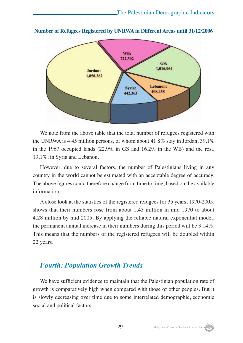

**Number of Refugees Registered by UNRWA in Different Areas until 31/12/2006**

We note from the above table that the total number of refugees registered with the UNRWA is 4.45 million persons, of whom about 41.8% stay in Jordan, 39.1% in the 1967 occupied lands (22.9% in GS and 16.2% in the WB) and the rest, 19.1%, in Syria and Lebanon.

However, due to several factors, the number of Palestinians living in any country in the world cannot be estimated with an acceptable degree of accuracy. The above figures could therefore change from time to time, based on the available information.

A close look at the statistics of the registered refugees for 35 years, 1970-2005, shows that their numbers rose from about 1.43 million in mid 1970 to about 4.28 million by mid 2005. By applying the reliable natural exponential model, the permanent annual increase in their numbers during this period will be 3.14%. This means that the numbers of the registered refugees will be doubled within 22 years.

#### *Fourth: Population Growth Trends*

We have sufficient evidence to maintain that the Palestinian population rate of growth is comparatively high when compared with those of other peoples. But it is slowly decreasing over time due to some interrelated demographic, economic social and political factors.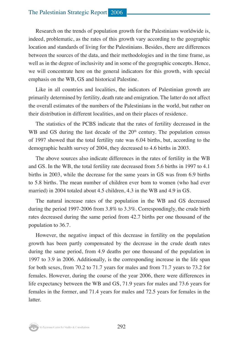Research on the trends of population growth for the Palestinians worldwide is, indeed, problematic, as the rates of this growth vary according to the geographic location and standards of living for the Palestinians. Besides, there are differences between the sources of the data, and their methodologies and in the time frame, as well as in the degree of inclusivity and in some of the geographic concepts. Hence, we will concentrate here on the general indicators for this growth, with special emphasis on the WB, GS and historical Palestine.

Like in all countries and localities, the indicators of Palestinian growth are primarily determined by fertility, death rate and emigration. The latter do not affect the overall estimates of the numbers of the Palestinians in the world, but rather on their distribution in different localities, and on their places of residence.

The statistics of the PCBS indicate that the rates of fertility decreased in the WB and GS during the last decade of the  $20<sup>th</sup>$  century. The population census of 1997 showed that the total fertility rate was 6.04 births, but, according to the demographic health survey of 2004, they decreased to 4.6 births in 2003.

The above sources also indicate differences in the rates of fertility in the WB and GS. In the WB, the total fertility rate decreased from 5.6 births in 1997 to 4.1 births in 2003, while the decrease for the same years in GS was from 6.9 births to 5.8 births. The mean number of children ever born to women (who had ever married) in 2004 totaled about 4.5 children, 4.3 in the WB and 4.9 in GS.

The natural increase rates of the population in the WB and GS decreased during the period 1997-2006 from 3.8% to 3.3%. Correspondingly, the crude birth rates decreased during the same period from 42.7 births per one thousand of the population to 36.7.

However, the negative impact of this decrease in fertility on the population growth has been partly compensated by the decrease in the crude death rates during the same period, from 4.9 deaths per one thousand of the population in 1997 to 3.9 in 2006. Additionally, is the corresponding increase in the life span for both sexes, from 70.2 to 71.7 years for males and from 71.7 years to 73.2 for females. However, during the course of the year 2006, there were differences in life expectancy between the WB and GS, 71.9 years for males and 73.6 years for females in the former, and 71.4 years for males and 72.5 years for females in the latter.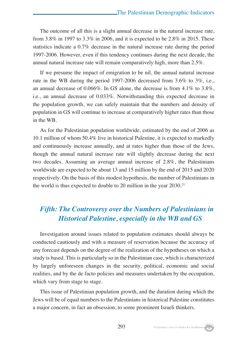The outcome of all this is a slight annual decrease in the natural increase rate, from 3.8% in 1997 to 3.3% in 2006, and it is expected to be 2.8% in 2015. These statistics indicate a 0.7% decrease in the natural increase rate during the period 1997-2006. However, even if this tendency continues during the next decade, the annual natural increase rate will remain comparatively high, more than 2.5%.

If we presume the impact of emigration to be nil, the annual natural increase rate in the WB during the period 1997-2006 decreased from 3.6% to 3%, i.e., an annual decrease of 0.066%. In GS alone, the decrease is from  $4.1\%$  to  $3.8\%$ . i.e., an annual decrease of 0.033%. Notwithstanding this expected decrease in the population growth, we can safely maintain that the numbers and density of population in GS will continue to increase at comparatively higher rates than those in the WB.

As for the Palestinian population worldwide, estimated by the end of 2006 as 10.1 million of whom 50.4% live in historical Palestine, it is expected to markedly and continuously increase annually, and at rates higher than those of the Jews, though the annual natural increase rate will slightly decrease during the next two decades. Assuming an average annual increase of 2.8%, the Palestinians worldwide are expected to be about 13 and 15 million by the end of 2015 and 2020 respectively. On the basis of this modest hypothesis, the number of Palestinians in the world is thus expected to double to 20 million in the year 2030.<sup>21</sup>

#### *Fifth: The Controversy over the Numbers of Palestinians in Historical Palestine, especially in the WB and GS*

Investigation around issues related to population estimates should always be conducted cautiously and with a measure of reservation because the accuracy of any forecast depends on the degree of the realization of the hypotheses on which a study is based. This is particularly so in the Palestinian case, which is characterized by largely unforeseen changes in the security, political, economic and social realities, and by the de facto policies and measures undertaken by the occupation, which vary from stage to stage.

This issue of Palestinian population growth, and the duration during which the Jews will be of equal numbers to the Palestinians in historical Palestine constitutes a major concern, in fact an obsession, to some prominent Israeli thinkers.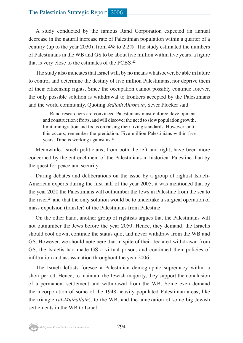#### The Palestinian Strategic Report 2006

A study conducted by the famous Rand Corporation expected an annual decrease in the natural increase rate of Palestinian population within a quarter of a century (up to the year 2030), from  $4\%$  to 2.2%. The study estimated the numbers of Palestinians in the WB and GS to be about five million within five years, a figure that is very close to the estimates of the PCBS.22

The study also indicates that Israel will, by no means whatsoever, be able in future to control and determine the destiny of five million Palestinians, nor deprive them of their citizenship rights. Since the occupation cannot possibly continue forever, the only possible solution is withdrawal to frontiers accepted by the Palestinians and the world community. Quoting *Yedioth Ahronoth*, Sever Plocker said:

Rand researchers are convinced Palestinians must enforce development and construction efforts, and will discover the need to slow population growth, limit immigration and focus on raising their living standards. However, until this occurs, remember the prediction: Five million Palestinians within five years. Time is working against us.<sup>23</sup>

Meanwhile, Israeli politicians, from both the left and right, have been more concerned by the entrenchment of the Palestinians in historical Palestine than by the quest for peace and security.

During debates and deliberations on the issue by a group of rightist Israeli-American experts during the first half of the year 2005, it was mentioned that by the year 2020 the Palestinians will outnumber the Jews in Palestine from the sea to the river,<sup>24</sup> and that the only solution would be to undertake a surgical operation of mass expulsion (transfer) of the Palestinians from Palestine.

On the other hand, another group of rightists argues that the Palestinians will not outnumber the Jews before the year 2050. Hence, they demand, the Israelis should cool down, continue the status quo, and never withdraw from the WB and GS. However, we should note here that in spite of their declared withdrawal from GS, the Israelis had made GS a virtual prison, and continued their policies of infiltration and assassination throughout the year 2006.

The Israeli leftists foresee a Palestinian demographic supremacy within a short period. Hence, to maintain the Jewish majority, they support the conclusion of a permanent settlement and withdrawal from the WB. Some even demand the incorporation of some of the 1948 heavily populated Palestinian areas, like the triangle (*al-Muthallath*), to the WB, and the annexation of some big Jewish settlements in the WB to Israel.

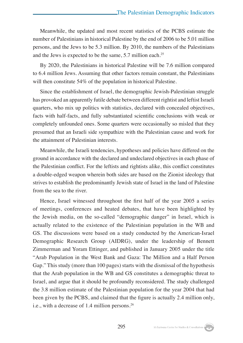Meanwhile, the updated and most recent statistics of the PCBS estimate the number of Palestinians in historical Palestine by the end of 2006 to be 5.01 million persons, and the Jews to be 5.3 million. By 2010, the numbers of the Palestinians and the Jews is expected to be the same, 5.7 million each.25

By 2020, the Palestinians in historical Palestine will be 7.6 million compared to 6.4 million Jews. Assuming that other factors remain constant, the Palestinians will then constitute 54% of the population in historical Palestine.

Since the establishment of Israel, the demographic Jewish-Palestinian struggle has provoked an apparently futile debate between different rightist and leftist Israeli quarters, who mix up politics with statistics, declared with concealed objectives, facts with half-facts, and fully substantiated scientific conclusions with weak or completely unfounded ones. Some quarters were occasionally so misled that they presumed that an Israeli side sympathize with the Palestinian cause and work for the attainment of Palestinian interests.

Meanwhile, the Israeli tendencies, hypotheses and policies have differed on the ground in accordance with the declared and undeclared objectives in each phase of the Palestinian conflict. For the leftists and rightists alike, this conflict constitutes a double-edged weapon wherein both sides are based on the Zionist ideology that strives to establish the predominantly Jewish state of Israel in the land of Palestine from the sea to the river.

Hence, Israel witnessed throughout the first half of the year 2005 a series of meetings, conferences and heated debates, that have been highlighted by the Jewish media, on the so-called "demographic danger" in Israel, which is actually related to the existence of the Palestinian population in the WB and GS. The discussions were based on a study conducted by the American-Israel Demographic Research Group (AIDRG), under the leadership of Bennett Zimmerman and Yoram Ettinger, and published in January 2005 under the title "Arab Population in the West Bank and Gaza: The Million and a Half Person Gap." This study (more than 100 pages) starts with the dismissal of the hypothesis that the Arab population in the WB and GS constitutes a demographic threat to Israel, and argue that it should be profoundly reconsidered. The study challenged the 3.8 million estimate of the Palestinian population for the year 2004 that had been given by the PCBS, and claimed that the figure is actually 2.4 million only, i.e., with a decrease of 1.4 million persons.26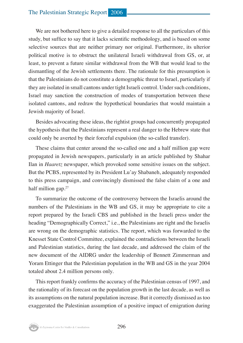We are not bothered here to give a detailed response to all the particulars of this study, but suffice to say that it lacks scientific methodology, and is based on some selective sources that are neither primary nor original. Furthermore, its ulterior political motive is to obstruct the unilateral Israeli withdrawal from GS, or, at least, to prevent a future similar withdrawal from the WB that would lead to the dismantling of the Jewish settlements there. The rationale for this presumption is that the Palestinians do not constitute a demographic threat to Israel, particularly if they are isolated in small cantons under tight Israeli control. Under such conditions, Israel may sanction the construction of modes of transportation between these isolated cantons, and redraw the hypothetical boundaries that would maintain a Jewish majority of Israel.

Besides advocating these ideas, the rightist groups had concurrently propagated the hypothesis that the Palestinians represent a real danger to the Hebrew state that could only be averted by their forceful expulsion (the so-called transfer).

These claims that center around the so-called one and a half million gap were propagated in Jewish newspapers, particularly in an article published by Shahar Ilan in *Haaretz* newspaper, which provoked some sensitive issues on the subject. But the PCBS, represented by its President Lu'ay Shabaneh, adequately responded to this press campaign, and convincingly dismissed the false claim of a one and half million gap. $27$ 

To summarize the outcome of the controversy between the Israelis around the numbers of the Palestinians in the WB and GS, it may be appropriate to cite a report prepared by the Israeli CBS and published in the Israeli press under the heading "Demographically Correct," i.e., **t**he Palestinians are right and the Israelis are wrong on the demographic statistics. The report, which was forwarded to the Knesset State Control Committee, explained the contradictions between the Israeli and Palestinian statistics, during the last decade, and addressed the claim of the new document of the AIDRG under the leadership of Bennett Zimmerman and Yoram Ettinger that the Palestinian population in the WB and GS in the year 2004 totaled about 2.4 million persons only.

This report frankly confirms the accuracy of the Palestinian census of 1997, and the rationality of its forecast on the population growth in the last decade, as well as its assumptions on the natural population increase. But it correctly dismissed as too exaggerated the Palestinian assumption of a positive impact of emigration during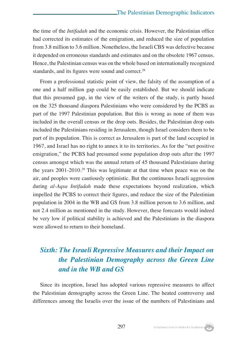the time of the *Intifadah* and the economic crisis. However, the Palestinian office had corrected its estimates of the emigration, and reduced the size of population from 3.8 million to 3.6 million. Nonetheless, the Israeli CBS was defective because it depended on erroneous standards and estimates and on the obsolete 1967 census. Hence, the Palestinian census was on the whole based on internationally recognized standards, and its figures were sound and correct.<sup>28</sup>

From a professional statistic point of view, the falsity of the assumption of a one and a half million gap could be easily established. But we should indicate that this presumed gap, in the view of the writers of the study, is partly based on the 325 thousand diaspora Palestinians who were considered by the PCBS as part of the 1997 Palestinian population. But this is wrong as none of them was included in the overall census or the drop outs. Besides, the Palestinian drop outs included the Palestinians residing in Jerusalem, though Israel considers them to be part of its population. This is correct as Jerusalem is part of the land occupied in 1967, and Israel has no right to annex it to its territories. As for the "net positive emigration," the PCBS had presumed some population drop outs after the 1997 census amongst which was the annual return of 45 thousand Palestinians during the years 2001-2010.29 This was legitimate at that time when peace was on the air, and peoples were cautiously optimistic. But the continuous Israeli aggression during *al-Aqsa Intifadah* made these expectations beyond realization, which impelled the PCBS to correct their figures, and reduce the size of the Palestinian population in 2004 in the WB and GS from 3.8 million person to 3.6 million, and not 2.4 million as mentioned in the study. However, these forecasts would indeed be very low if political stability is achieved and the Palestinians in the diaspora were allowed to return to their homeland.

#### *Sixth: The Israeli Repressive Measures and their Impact on the Palestinian Demography across the Green Line and in the WB and GS*

Since its inception, Israel has adopted various repressive measures to affect the Palestinian demography across the Green Line. The heated controversy and differences among the Israelis over the issue of the numbers of Palestinians and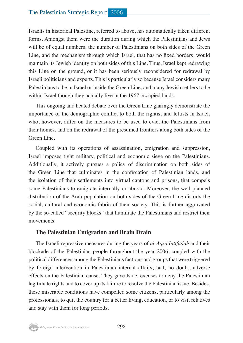Israelis in historical Palestine, referred to above, has automatically taken different forms. Amongst them were the duration during which the Palestinians and Jews will be of equal numbers, the number of Palestinians on both sides of the Green Line, and the mechanism through which Israel, that has no fixed borders, would maintain its Jewish identity on both sides of this Line. Thus, Israel kept redrawing this Line on the ground, or it has been seriously reconsidered for redrawal by Israeli politicians and experts. This is particularly so because Israel considers many Palestinians to be in Israel or inside the Green Line, and many Jewish settlers to be within Israel though they actually live in the 1967 occupied lands.

This ongoing and heated debate over the Green Line glaringly demonstrate the importance of the demographic conflict to both the rightist and leftists in Israel, who, however, differ on the measures to be used to evict the Palestinians from their homes, and on the redrawal of the presumed frontiers along both sides of the Green Line.

Coupled with its operations of assassination, emigration and suppression, Israel imposes tight military, political and economic siege on the Palestinians. Additionally, it actively pursues a policy of discrimination on both sides of the Green Line that culminates in the confiscation of Palestinian lands, and the isolation of their settlements into virtual cantons and prisons, that compels some Palestinians to emigrate internally or abroad. Moreover, the well planned distribution of the Arab population on both sides of the Green Line distorts the social, cultural and economic fabric of their society. This is further aggravated by the so-called "security blocks" that humiliate the Palestinians and restrict their movements.

#### **The Palestinian Emigration and Brain Drain**

The Israeli repressive measures during the years of *al-Aqsa Intifadah* and their blockade of the Palestinian people throughout the year 2006, coupled with the political differences among the Palestinians factions and groups that were triggered by foreign intervention in Palestinian internal affairs, had, no doubt, adverse effects on the Palestinian cause. They gave Israel excuses to deny the Palestinian legitimate rights and to cover up its failure to resolve the Palestinian issue. Besides, these miserable conditions have compelled some citizens, particularly among the professionals, to quit the country for a better living, education, or to visit relatives and stay with them for long periods.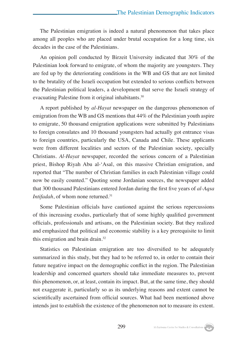The Palestinian emigration is indeed a natural phenomenon that takes place among all peoples who are placed under brutal occupation for a long time, six decades in the case of the Palestinians.

An opinion poll conducted by Birzeit University indicated that 30% of the Palestinian look forward to emigrate, of whom the majority are youngsters. They are fed up by the deteriorating conditions in the WB and GS that are not limited to the brutality of the Israeli occupation but extended to serious conflicts between the Palestinian political leaders, a development that serve the Israeli strategy of evacuating Palestine from it original inhabitants.30

A report published by *al-Hayat* newspaper on the dangerous phenomenon of emigration from the WB and GS mentions that 44% of the Palestinian youth aspire to emigrate, 50 thousand emigration applications were submitted by Palestinians to foreign consulates and 10 thousand youngsters had actually got entrance visas to foreign countries, particularly the USA, Canada and Chile. These applicants were from different localities and sectors of the Palestinian society, specially Christians. *Al-Hayat* newspaper, recorded the serious concern of a Palestinian priest, Bishop Riyah Abu al-'Asal, on this massive Christian emigration, and reported that "The number of Christian families in each Palestinian village could now be easily counted." Quoting some Jordanian sources, the newspaper added that 300 thousand Palestinians entered Jordan during the first five years of *al-Aqsa Intifadah*, of whom none returned.<sup>31</sup>

Some Palestinian officials have cautioned against the serious repercussions of this increasing exodus, particularly that of some highly qualified government officials, professionals and artisans, on the Palestinian society. But they realized and emphasized that political and economic stability is a key prerequisite to limit this emigration and brain drain.32

Statistics on Palestinian emigration are too diversified to be adequately summarized in this study, but they had to be referred to, in order to contain their future negative impact on the demographic conflict in the region. The Palestinian leadership and concerned quarters should take immediate measures to, prevent this phenomenon, or, at least, contain its impact. But, at the same time, they should not exaggerate it, particularly so as its underlying reasons and extent cannot be scientifically ascertained from official sources. What had been mentioned above intends just to establish the existence of the phenomenon not to measure its extent.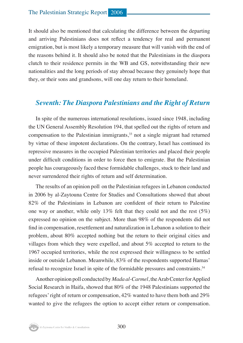It should also be mentioned that calculating the difference between the departing and arriving Palestinians does not reflect a tendency for real and permanent emigration, but is most likely a temporary measure that will vanish with the end of the reasons behind it. It should also be noted that the Palestinians in the diaspora clutch to their residence permits in the WB and GS, notwithstanding their new nationalities and the long periods of stay abroad because they genuinely hope that they, or their sons and grandsons, will one day return to their homeland.

#### *Seventh: The Diaspora Palestinians and the Right of Return*

In spite of the numerous international resolutions, issued since 1948, including the UN General Assembly Resolution 194, that spelled out the rights of return and compensation to the Palestinian immigrants, $33$  not a single migrant had returned by virtue of these impotent declarations. On the contrary, Israel has continued its repressive measures in the occupied Palestinian territories and placed their people under difficult conditions in order to force then to emigrate. But the Palestinian people has courageously faced these formidable challenges, stuck to their land and never surrendered their rights of return and self determination.

The results of an opinion poll on the Palestinian refugees in Lebanon conducted in 2006 by al-Zaytouna Centre for Studies and Consultations showed that about 82% of the Palestinians in Lebanon are confident of their return to Palestine one way or another, while only 13% felt that they could not and the rest  $(5%)$ expressed no opinion on the subject. More than 98% of the respondents did not find in compensation, resettlement and naturalization in Lebanon a solution to their problem, about 80% accepted nothing but the return to their original cities and villages from which they were expelled, and about 5% accepted to return to the 1967 occupied territories, while the rest expressed their willingness to be settled inside or outside Lebanon. Meanwhile, 83% of the respondents supported Hamas' refusal to recognize Israel in spite of the formidable pressures and constraints.34

Another opinion poll conducted by *Mada al-Carmel*, the Arab Center for Applied Social Research in Haifa, showed that 80% of the 1948 Palestinians supported the refugees' right of return or compensation, 42% wanted to have them both and 29% wanted to give the refugees the option to accept either return or compensation.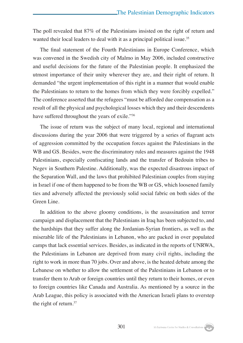The poll revealed that 87% of the Palestinians insisted on the right of return and wanted their local leaders to deal with it as a principal political issue.<sup>35</sup>

The final statement of the Fourth Palestinians in Europe Conference, which was convened in the Swedish city of Malmo in May 2006, included constructive and useful decisions for the future of the Palestinian people. It emphasized the utmost importance of their unity wherever they are, and their right of return. It demanded "the urgent implementation of this right in a manner that would enable the Palestinians to return to the homes from which they were forcibly expelled." The conference asserted that the refugees "must be afforded due compensation as a result of all the physical and psychological losses which they and their descendents have suffered throughout the years of exile."36

The issue of return was the subject of many local, regional and international discussions during the year 2006 that were triggered by a series of flagrant acts of aggression committed by the occupation forces against the Palestinians in the WB and GS. Besides, were the discriminatory rules and measures against the 1948 Palestinians, especially confiscating lands and the transfer of Bedouin tribes to Negev in Southern Palestine. Additionally, was the expected disastrous impact of the Separation Wall, and the laws that prohibited Palestinian couples from staying in Israel if one of them happened to be from the WB or GS, which loosened family ties and adversely affected the previously solid social fabric on both sides of the Green Line.

In addition to the above gloomy conditions, is the assassination and terror campaign and displacement that the Palestinians in Iraq has been subjected to, and the hardships that they suffer along the Jordanian-Syrian frontiers, as well as the miserable life of the Palestinians in Lebanon, who are packed in over populated camps that lack essential services. Besides, as indicated in the reports of UNRWA, the Palestinians in Lebanon are deprived from many civil rights, including the right to work in more than 70 jobs. Over and above, is the heated debate among the Lebanese on whether to allow the settlement of the Palestinians in Lebanon or to transfer them to Arab or foreign countries until they return to their homes, or even to foreign countries like Canada and Australia. As mentioned by a source in the Arab League, this policy is associated with the American Israeli plans to overstep the right of return.37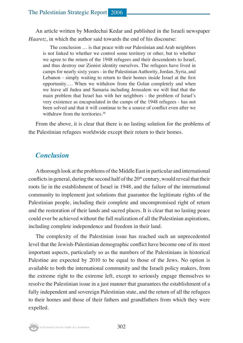An article written by Mordechai Kedar and published in the Israeli newspaper *Haaretz*, in which the author said towards the end of his discourse:

The conclusion … is that peace with our Palestinian and Arab neighbors is not linked to whether we control some territory or other, but to whether we agree to the return of the 1948 refugees and their descendents to Israel, and thus destroy our Zionist identity ourselves. The refugees have lived in camps for nearly sixty years - in the Palestinian Authority, Jordan, Syria, and Lebanon - simply waiting to return to their homes inside Israel at the first opportunity…. When we withdraw from the Golan completely and when we leave all Judea and Samaria including Jerusalem we will find that the main problem that Israel has with her neighbors - the problem of Israel's very existence as encapsulated in the camps of the 1948 refugees - has not been solved and that it will continue to be a source of conflict even after we withdraw from the territories.<sup>38</sup>

From the above, it is clear that there is no lasting solution for the problems of the Palestinian refugees worldwide except their return to their homes.

#### *Conclusion*

A thorough look at the problems of the Middle East in particular and international conflicts in general, during the second half of the  $20<sup>th</sup>$  century, would reveal that their roots lie in the establishment of Israel in 1948, and the failure of the international community to implement just solutions that guarantee the legitimate rights of the Palestinian people, including their complete and uncompromised right of return and the restoration of their lands and sacred places. It is clear that no lasting peace could ever be achieved without the full realization of all the Palestinian aspirations, including complete independence and freedom in their land.

The complexity of the Palestinian issue has reached such an unprecedented level that the Jewish-Palestinian demographic conflict have become one of its most important aspects, particularly so as the numbers of the Palestinians in historical Palestine are expected by 2010 to be equal to those of the Jews. No option is available to both the international community and the Israeli policy makers, from the extreme right to the extreme left, except to seriously engage themselves to resolve the Palestinian issue in a just manner that guarantees the establishment of a fully independent and sovereign Palestinian state, and the return of all the refugees to their homes and those of their fathers and grandfathers from which they were expelled.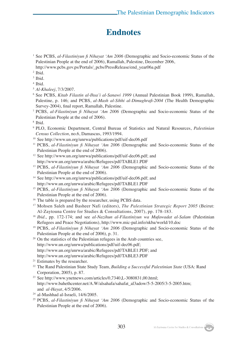#### **Endnotes**

- <sup>1</sup> See PCBS, *al-Filastiniyun fi Nihayat 'Am 2006* (Demographic and Socio-economic Status of the Palestinian People at the end of 2006), Ramallah, Palestine, December 2006, http://www.pcbs.gov.ps/Portals/\_pcbs/PressRelease/end\_year06a.pdf
- <sup>2</sup> Ibid.
- <sup>3</sup> Ibid.
- <sup>4</sup> Ibid.
- <sup>5</sup> *Al-Khaleej*, 7/3/2007.
- <sup>6</sup> See PCBS, *Kitab Filastin al-Ihsa'i al-Sanawi 1999* (Annual Palestinian Book 1999), Ramallah, Palestine, p. 146; and PCBS, *al-Mash al-Sihhi al-Dimughrafi-2004* (The Health Demographic Survey-2004), final report, Ramallah, Palestine.
- <sup>7</sup> PCBS, *al-Filastiniyun fi Nihayat 'Am 2006* (Demographic and Socio-economic Status of the Palestinian People at the end of 2006).
- <sup>8</sup> Ibid.
- <sup>9</sup> PLO, Economic Department, Central Bureau of Statistics and Natural Resources, *Palestinian Census Collection*, no.6, Damascus, 1993/1994.
- <sup>10</sup> See http://www.un.org/unrwa/publications/pdf/uif-dec06.pdf
- <sup>11</sup> PCBS, *al-Filastiniyun fi Nihayat 'Am 2006* (Demographic and Socio-economic Status of the Palestinian People at the end of 2006).
- <sup>12</sup> See http://www.un.org/unrwa/publications/pdf/uif-dec06.pdf; and http://www.un.org/unrwa/arabic/Refugees/pdf/TABLE1.PDF
- <sup>13</sup> PCBS, *al-Filastiniyun fi Nihayat 'Am 2006* (Demographic and Socio-economic Status of the Palestinian People at the end of 2006).
- <sup>14</sup> See http://www.un.org/unrwa/publications/pdf/uif-dec06.pdf; and http://www.un.org/unrwa/arabic/Refugees/pdf/TABLE1.PDF
- <sup>15</sup> PCBS, *al-Filastiniyun fi Nihayat 'Am 2006* (Demographic and Socio-economic Status of the Palestinian People at the end of 2006).<br><sup>16</sup> The table is prepared by the researcher, using PCBS data.
- 
- <sup>17</sup> Mohsen Saleh and Basheer Nafi (editors), *The Palestinian Strategic Report 2005* (Beirut: Al-Zaytouna Centre for Studies & Consultations, 2007), pp. 178-183.
- <sup>18</sup> *Ibid.*, pp. 172-174; and see *al-Nazihun al-Filastiniyun wa Mufawadat al-Salam* (Palestinian Refugees and Peace Negotiations), http://www.mic-pal.info/nkba/world/10.doc
- <sup>19</sup> PCBS, *al-Filastiniyun fi Nihayat 'Am 2006* (Demographic and Socio-economic Status of the Palestinian People at the end of 2006), p. 31.
- $20$  On the statistics of the Palestinian refugees in the Arab countries see, http://www.un.org/unrwa/publications/pdf/uif-dec06.pdf; http://www.un.org/unrwa/arabic/Refugees/pdf/TABLE1.PDF; and http://www.un.org/unrwa/arabic/Refugees/pdf/TABLE3.PDF
- <sup>21</sup> Estimates by the researcher.
- <sup>22</sup> The Rand Palestinian State Study Team, *Building a Successful Palestinian State* (USA: Rand Corporation, 2005), p. 87.
- <sup>23</sup> See http://www.ynetnews.com/articles/0,7340,L-3080831,00.html; http://www.bahethcenter.net/A.W/alsahafa/sahafat\_al3adow/5-5-2005/3-5-2005.htm; and *al-Hayat*, 4/5/2006.
- <sup>24</sup> al-Mashhad al-Israeli, 14/6/2005.
- <sup>25</sup> PCBS, *al-Filastiniyun fi Nihayat 'Am 2006* (Demographic and Socio-economic Status of the Palestinian People at the end of 2006).

303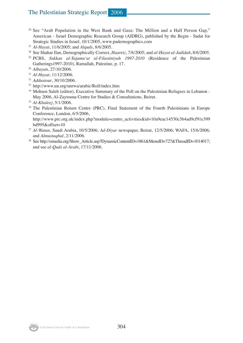#### The Palestinian Strategic Report 2006

- <sup>26</sup> See "Arab Population in the West Bank and Gaza: The Million and a Half Person Gap," American - Israel Demographic Research Group (AIDRG), published by the Begin - Sadat for Strategic Studies in Israel, 10/1/2005, www.padernographics.com
- <sup>27</sup> *Al-Hayat*, 11/6/2005; and *Alquds*, 8/6/2005.
- <sup>28</sup> See Shahar Ilan, Demographically Correct, *Haaretz*, 7/6/2005; and *al-Hayat al-Jadidah*, 8/6/2005.
- <sup>29</sup> PCBS, *Sukkan al-Tajamu'at al-Filastiniyah 1997-2010* (Residence of the Palestinian Gatherings1997-2010), Ramallah, Palestine, p. 17.
- <sup>30</sup> *Albayan*, 27/10/2006.
- <sup>31</sup> *Al-Hayat*, 11/12/2006.
- <sup>32</sup> *Addustour*, 30/10/2006.
- <sup>33</sup> http://www.un.org/unrwa/arabic/Roll/index.htm
- <sup>34</sup> Mohsen Saleh (editor), Executive Summary of the Poll on the Palestinian Refugees in Lebanon -May 2006, Al-Zaytouna Centre for Studies & Consultations, Beirut.
- <sup>35</sup> *Al-Khaleej*, 5/1/2006.
- <sup>36</sup> The Palestinian Return Centre (PRC), Final Statement of the Fourth Palestinians in Europe Conference, London, 6/5/2006,

http://www.prc.org.uk/index.php?module=centre\_activities&id=10a9eac14530c3b4ad9cf91e399 bd995&offset=10

- <sup>37</sup> *Al-Watan*, Saudi Arabia, 10/5/2006; *Ad-Diyar* newspaper, Beirut, 12/5/2006; WAFA, 15/6/2006; and *Almustaqbal*, 2/11/2006.
- <sup>38</sup> See http://omedia.org/Show\_Article.asp?DynamicContentID=1861&MenuID=727&ThreadID=1014017; and see *al-Quds al-Arabi*, 17/11/2006.